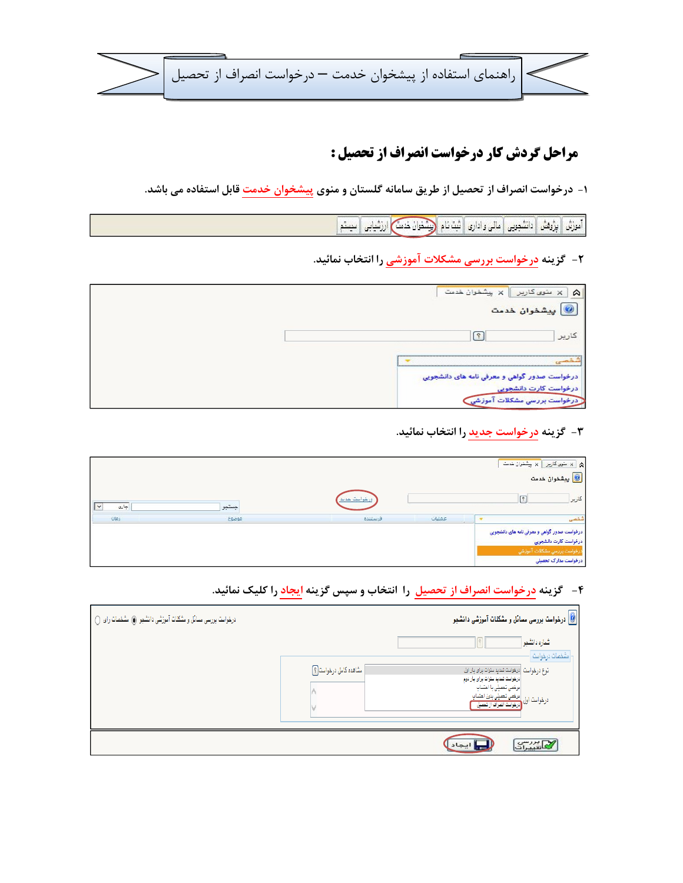ا راهنمای استفاده از پیشخوان خدمت — درخواست انصراف از تحصیل  $\big|$ 

## مراحل گردش کار درخواست انصراف از تحصیل :

۱- درخواست انصراف از تحصیل از طریق سامانه گلستان و منوی پیشخوان خدمت قابل استفاده می باشد.

أَمْوَزْنُ | بِزُوْهَنْ | دَانْشُجِونِي | مالي واداري | ثبت نام | رَبِيْنْخُوانْ خَدْمَتْ | ارزِثْنيابِي | سيستم |

۲- گزینه <mark>درخواست بررسی مشکلات آموزشی</mark> را انتخاب نمائید.

| / × پیشخوان خدمت<br>× منوی<br>↷<br>كاريرا                             |
|-----------------------------------------------------------------------|
| پیشخوان خدمت                                                          |
| كارير                                                                 |
|                                                                       |
| درخواست صدور گواهی و معرفی نامه های دانشجویی<br>درخواست کارت دانشجویی |
| ت بررسی مشکلات                                                        |

۳- گزینه <mark>درخواست جدید</mark> را انتخاب نمائید.

|                      |       |              |        | ا با سَوی کاربِر $\boxed{\times \text{ min}$ بیشفوان خدمت<br><mark>۱۵</mark> پیشخوان خدمت                                    |
|----------------------|-------|--------------|--------|------------------------------------------------------------------------------------------------------------------------------|
| جارى<br>$\checkmark$ | جستجو | درخواست حديد |        | كارير                                                                                                                        |
| ialu                 | موضوع | فرستنده      | عمليات |                                                                                                                              |
|                      |       |              |        | درخواست صدور گواهي و معرفي نامه های دانشجويي<br>درخواست کارت دانشجويي<br>درخواست بررسى مشكلات آموزشي<br>درخواست مدارک تحصیلی |

۴- گزینه درخواست انصراف از تحصیل را انتخاب و سپس گزینه ایجاد را کلیک نمائید.

| درخواست بررسی مسائل و مشکلات آموزشی دانشجو (@ مشخصات رای () |                        | <mark>©</mark> درخواست بررسی مسائل و مشکل <b>ات آموزشی دانش</b> جو                                                                                                                                                     |
|-------------------------------------------------------------|------------------------|------------------------------------------------------------------------------------------------------------------------------------------------------------------------------------------------------------------------|
|                                                             |                        | شماره دانشجو<br>$\mathcal{S}$<br>امشفصات درهواست ا                                                                                                                                                                     |
|                                                             | مشاهده كامل درخواست[؟] | انوع درخواست  درخواست تمدید سنوات برای بار اول<br> درخواست تمدید سئوات برای بار دوم<br>مرخصی تحصیلی با احتساب<br>درخواست اول <mark>درخمی تحمیلی بدون احتساب</mark><br>درخواست اول <mark>درخواست انمراف از تحمیل</mark> |
|                                                             |                        | كاستات                                                                                                                                                                                                                 |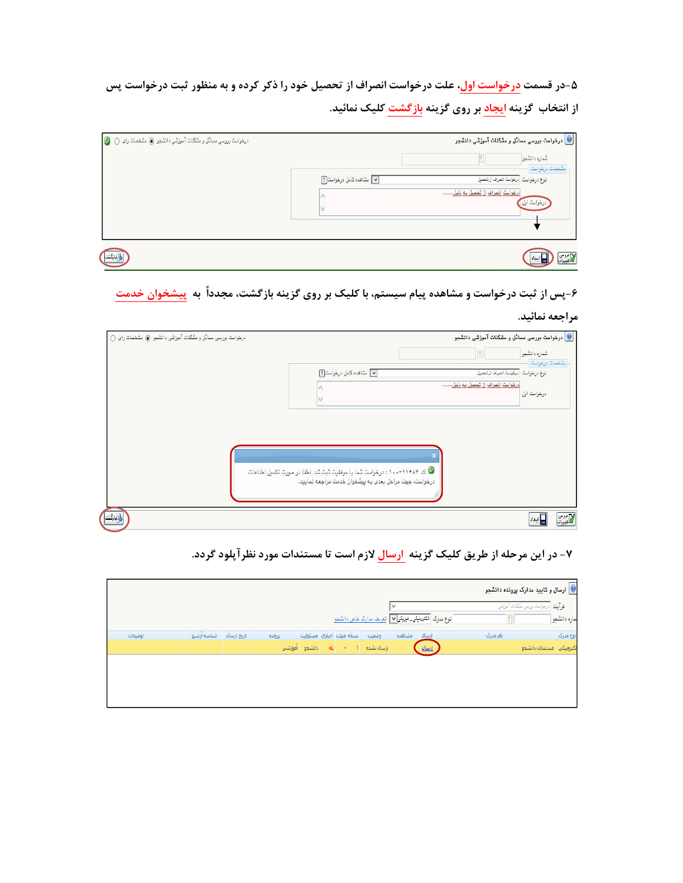۵-در قسمت درخواست اول، علت درخواست انصراف از تحصیل خود را ذکر کرده و به منظور ثبت درخواست پس از انتخاب گزینه ایجاد بر روی گزینه بازگشت کلیک نمائید.

| درخواست بورسی مسائل و مشکنات آموزشی دانشجو کی مشخصات رای () کی |                                    | <mark>©</mark> درخواست بررسی مسائل و مشکلات آموزشی دانشجو<br>شماره دانشجو                                    |
|----------------------------------------------------------------|------------------------------------|--------------------------------------------------------------------------------------------------------------|
|                                                                | V مشاهده كامل درخواست <sup>9</sup> | مشفصات درخواست<br>نوع در فوا <mark>ست </mark> درخواست انمراف از تم <i>میل</i><br>فيخولس لنصيف لنحصيل يم دليل |
|                                                                |                                    | درخواست اول                                                                                                  |
| إقباركنت                                                       |                                    | الأسيران                                                                                                     |

۶-پس از ثبت درخواست و مشاهده پیام سیستم، با کلیک بر روی گزینه بازگشت، مجدداً به پیشخوان خدمت

مراجعه نمائيد.

|                                                                                                                                            | درخواست بررسی مسائل و مشکلات آموزشی دانشجو $\textcircled{\textbf{0}}$ | شماره دانشجو   |
|--------------------------------------------------------------------------------------------------------------------------------------------|-----------------------------------------------------------------------|----------------|
| ٧ مشاهده كامل درخواست [؟]                                                                                                                  | نوع درخواست   درخواست انصراف از تمصيل                                 | تشفمات درخواست |
|                                                                                                                                            | منهاستر انصراف ان تعصيل به دليل                                       | درخواست اول    |
|                                                                                                                                            |                                                                       |                |
|                                                                                                                                            |                                                                       |                |
|                                                                                                                                            |                                                                       |                |
|                                                                                                                                            |                                                                       |                |
| ن ۱۱۴۸۴–۱۰۰ : درخواست شما با موفقیت ثبت شد، لطفا در صورت تکمیل اطلاعات $\bullet$<br>درخواست، جهت مراحل بعدی به پیشخوان خدمت مراجعه نمایید. |                                                                       |                |
|                                                                                                                                            |                                                                       |                |

۷- در این مرحله از طریق کلیک گزینه <mark>ارسال</mark> لازم است تا مستندات مورد نظر آپلود گردد.

|         |                         |        |                                               |       |                                                                              |          | <mark>©</mark> ارسال و تایید مدارک پرونده دانشجو |
|---------|-------------------------|--------|-----------------------------------------------|-------|------------------------------------------------------------------------------|----------|--------------------------------------------------|
|         |                         |        |                                               |       | v                                                                            |          | فرايند <mark>الزخواسة بررسي شكلات آموزشي</mark>  |
|         |                         |        |                                               |       | ا نوع مدرک <mark>الکترینیکی_ نیزیکی</mark> v   <u>تعریف مدارک خاص دانشمو</u> |          | لماره دانشجو                                     |
| توضيحات | تاریخ ارسال شناسه ارشیو | يرونده | انسخه مهلت اجباري امسئوليت                    | وضعيت | ارسال مشاهده                                                                 | نام مدرک | نوع مدرک                                         |
|         |                         |        | ارسالانشده ( - <mark>بله دانشجو آموزشی</mark> |       | ارسال                                                                        |          | الكترونيكي أمستندات دانشجوا                      |
|         |                         |        |                                               |       |                                                                              |          |                                                  |
|         |                         |        |                                               |       |                                                                              |          |                                                  |
|         |                         |        |                                               |       |                                                                              |          |                                                  |
|         |                         |        |                                               |       |                                                                              |          |                                                  |